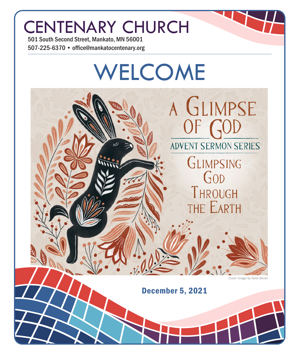# CENTENARY CHURCH

501 South Second Street, Mankato, MN 56001 507-225-6370 • office@mankatocentenary.org

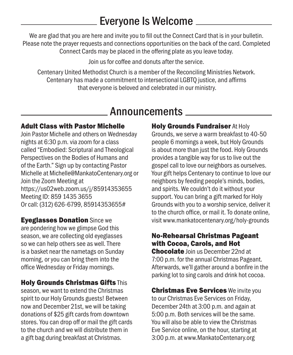### Everyone Is Welcome

We are glad that you are here and invite you to fill out the Connect Card that is in your bulletin. Please note the prayer requests and connections opportunities on the back of the card. Completed Connect Cards may be placed in the offering plate as you leave today.

Join us for coffee and donuts after the service.

Centenary United Methodist Church is a member of the Reconciling Ministries Network. Centenary has made a commitment to intersectional LGBTQ justice, and affirms that everyone is beloved and celebrated in our ministry.

### **Announcements**

#### Adult Class with Pastor Michelle

Join Pastor Michelle and others on Wednesday nights at 6:30 p.m. via zoom for a class called "Embodied: Scriptural and Theological Perspectives on the Bodies of Humans and of the Earth." Sign up by contacting Pastor Michelle at Michelle@MankatoCentenary.org or Join the Zoom Meeting at https://us02web.zoom.us/j/85914353655 Meeting ID: 859 1435 3655 Or call: (312) 626-6799, 85914353655#

Eyeglasses Donation Since we are pondering how we glimpse God this season, we are collecting old eyeglasses so we can help others see as well. There is a basket near the nametags on Sunday morning, or you can bring them into the office Wednesday or Friday mornings.

#### Holy Grounds Christmas Gifts This

season, we want to extend the Christmas spirit to our Holy Grounds guests! Between now and December 21st, we will be taking donations of \$25 gift cards from downtown stores. You can drop off or mail the gift cards to the church and we will distribute them in a gift bag during breakfast at Christmas.

**Holy Grounds Fundraiser At Holy** Grounds, we serve a warm breakfast to 40-50 people 6 mornings a week, but Holy Grounds is about more than just the food. Holy Grounds provides a tangible way for us to live out the gospel call to love our neighbors as ourselves. Your gift helps Centenary to continue to love our neighbors by feeding people's minds, bodies, and spirits. We couldn't do it without your support. You can bring a gift marked for Holy Grounds with you to a worship service, deliver it to the church office, or mail it. To donate online, visit www.mankatocentenary.org/holy-grounds

#### No-Rehearsal Christmas Pageant with Cocoa, Carols, and Hot

Chocolate Join us December 22nd at 7:00 p.m. for the annual Christmas Pageant. Afterwards, we'll gather around a bonfire in the parking lot to sing carols and drink hot cocoa.

**Christmas Eve Services** We invite you to our Christmas Eve Services on Friday, December 24th at 3:00 p.m. and again at 5:00 p.m. Both services will be the same. You will also be able to view the Christmas Eve Service online, on the hour, starting at 3:00 p.m. at www.MankatoCentenary.org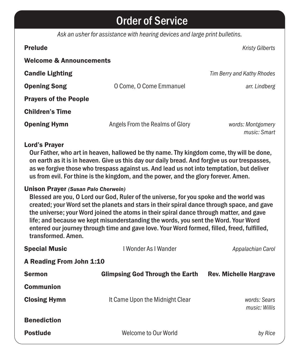### Order of Service

*Ask an usher for assistance with hearing devices and large print bulletins.*

| <b>Prelude</b>                     |                                 | <b>Kristy Gilberts</b>            |  |
|------------------------------------|---------------------------------|-----------------------------------|--|
| <b>Welcome &amp; Announcements</b> |                                 |                                   |  |
| <b>Candle Lighting</b>             |                                 | Tim Berry and Kathy Rhodes        |  |
| <b>Opening Song</b>                | O Come, O Come Emmanuel         | arr. Lindberg                     |  |
| <b>Prayers of the People</b>       |                                 |                                   |  |
| <b>Children's Time</b>             |                                 |                                   |  |
| <b>Opening Hymn</b>                | Angels From the Realms of Glory | words: Montgomery<br>music: Smart |  |

#### Lord's Prayer

Our Father, who art in heaven, hallowed be thy name. Thy kingdom come, thy will be done, on earth as it is in heaven. Give us this day our daily bread. And forgive us our trespasses, as we forgive those who trespass against us. And lead us not into temptation, but deliver us from evil. For thine is the kingdom, and the power, and the glory forever. Amen.

#### Unison Prayer *(Susan Palo Cherwein)*

Blessed are you, O Lord our God, Ruler of the universe, for you spoke and the world was created; your Word set the planets and stars in their spiral dance through space, and gave the universe; your Word joined the atoms in their spiral dance through matter, and gave life; and because we kept misunderstanding the words, you sent the Word. Your Word entered our journey through time and gave love. Your Word formed, filled, freed, fulfilled, transformed. Amen.

| <b>Special Music</b>     | I Wonder As I Wander                   | Appalachian Carol             |  |  |
|--------------------------|----------------------------------------|-------------------------------|--|--|
| A Reading From John 1:10 |                                        |                               |  |  |
| <b>Sermon</b>            | <b>Glimpsing God Through the Earth</b> | <b>Rev. Michelle Hargrave</b> |  |  |
| <b>Communion</b>         |                                        |                               |  |  |
| <b>Closing Hymn</b>      | It Came Upon the Midnight Clear        | words: Sears<br>music: Willis |  |  |
| <b>Benediction</b>       |                                        |                               |  |  |
| <b>Postlude</b>          | Welcome to Our World                   | by Rice                       |  |  |